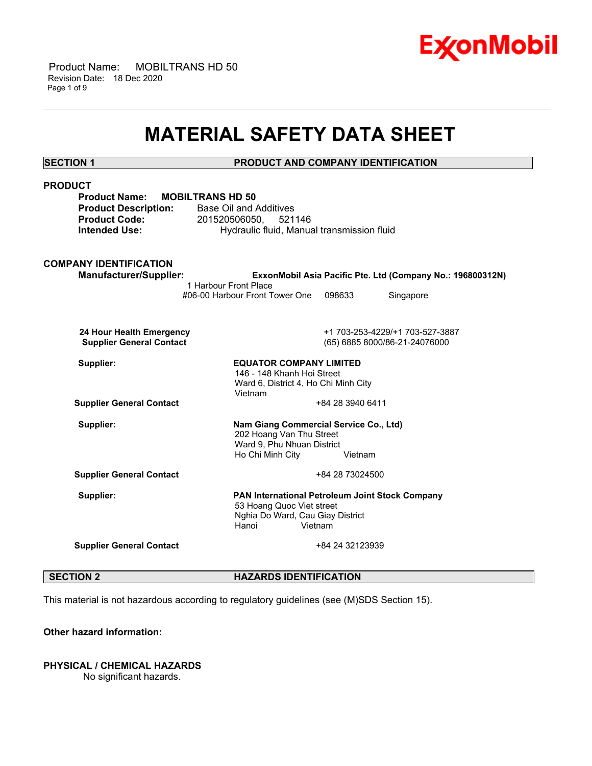

 Product Name: MOBILTRANS HD 50 Revision Date: 18 Dec 2020 Page 1 of 9

## **MATERIAL SAFETY DATA SHEET**

\_\_\_\_\_\_\_\_\_\_\_\_\_\_\_\_\_\_\_\_\_\_\_\_\_\_\_\_\_\_\_\_\_\_\_\_\_\_\_\_\_\_\_\_\_\_\_\_\_\_\_\_\_\_\_\_\_\_\_\_\_\_\_\_\_\_\_\_\_\_\_\_\_\_\_\_\_\_\_\_\_\_\_\_\_\_\_\_\_\_\_\_\_\_\_\_\_\_\_\_\_\_\_\_\_\_\_\_\_\_\_\_\_\_\_\_\_\_

**SECTION 1 PRODUCT AND COMPANY IDENTIFICATION PRODUCT Product Name: MOBILTRANS HD 50 Product Description:** Base Oil and Additives **Product Code:** 201520506050, 521146 **Intended Use: Hydraulic fluid, Manual transmission fluid COMPANY IDENTIFICATION Manufacturer/Supplier: ExxonMobil Asia Pacific Pte. Ltd (Company No.: 196800312N)** 1 Harbour Front Place #06-00 Harbour Front Tower One 098633 Singapore  **24 Hour Health Emergency** +1 703-253-4229/+1 703-527-3887  **Supplier General Contact** (65) 6885 8000/86-21-24076000 **Supplier: EQUATOR COMPANY LIMITED** 146 - 148 Khanh Hoi Street Ward 6, District 4, Ho Chi Minh City Vietnam **Supplier General Contact**  $+842839406411$ **Supplier: Nam Giang Commercial Service Co., Ltd)** 202 Hoang Van Thu Street Ward 9, Phu Nhuan District Ho Chi Minh City **Vietnam Supplier General Contact**  $+842873024500$ **Supplier: PAN International Petroleum Joint Stock Company** 53 Hoang Quoc Viet street Nghia Do Ward, Cau Giay District Hanoi Vietnam **Supplier General Contact**  $+84\,24\,32123939$ 

### **SECTION 2 HAZARDS IDENTIFICATION**

This material is not hazardous according to regulatory guidelines (see (M)SDS Section 15).

### **Other hazard information:**

### **PHYSICAL / CHEMICAL HAZARDS**

No significant hazards.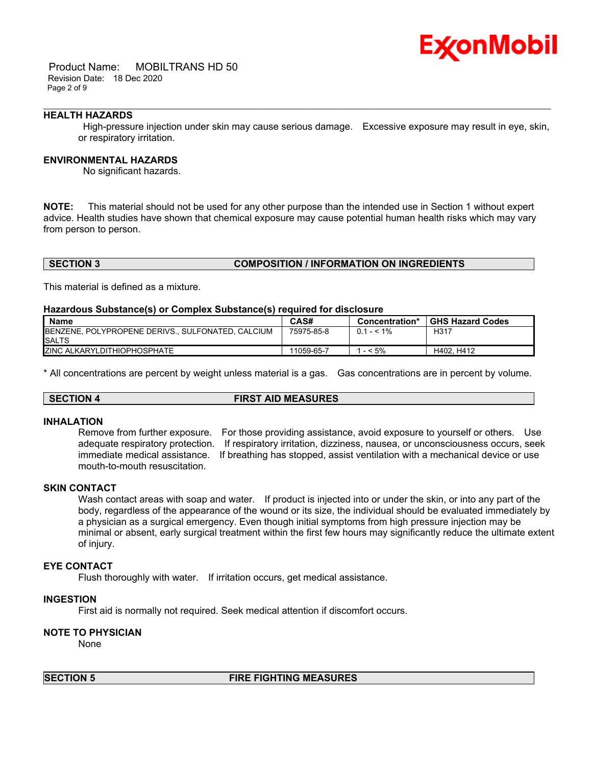

 Product Name: MOBILTRANS HD 50 Revision Date: 18 Dec 2020 Page 2 of 9

### **HEALTH HAZARDS**

 High-pressure injection under skin may cause serious damage. Excessive exposure may result in eye, skin, or respiratory irritation.

\_\_\_\_\_\_\_\_\_\_\_\_\_\_\_\_\_\_\_\_\_\_\_\_\_\_\_\_\_\_\_\_\_\_\_\_\_\_\_\_\_\_\_\_\_\_\_\_\_\_\_\_\_\_\_\_\_\_\_\_\_\_\_\_\_\_\_\_\_\_\_\_\_\_\_\_\_\_\_\_\_\_\_\_\_\_\_\_\_\_\_\_\_\_\_\_\_\_\_\_\_\_\_\_\_\_\_\_\_\_\_\_\_\_\_\_\_\_

### **ENVIRONMENTAL HAZARDS**

No significant hazards.

**NOTE:** This material should not be used for any other purpose than the intended use in Section 1 without expert advice. Health studies have shown that chemical exposure may cause potential human health risks which may vary from person to person.

### **SECTION 3 COMPOSITION / INFORMATION ON INGREDIENTS**

This material is defined as a mixture.

### **Hazardous Substance(s) or Complex Substance(s) required for disclosure**

| <b>Name</b>                                                                | CAS#       | Concentration* | <b>GHS Hazard Codes</b> |
|----------------------------------------------------------------------------|------------|----------------|-------------------------|
| <b>IBENZENE, POLYPROPENE DERIVS., SULFONATED, CALCIUM</b><br><b>ISALTS</b> | 75975-85-8 | $0.1 - 1\%$    | H <sub>31</sub>         |
| <b>ZINC ALKARYLDITHIOPHOSPHATE</b>                                         | 11059-65-7 | $-5%$          | H402. H412              |

\* All concentrations are percent by weight unless material is a gas. Gas concentrations are in percent by volume.

### **SECTION 4 FIRST AID MEASURES**

### **INHALATION**

Remove from further exposure. For those providing assistance, avoid exposure to yourself or others. Use adequate respiratory protection. If respiratory irritation, dizziness, nausea, or unconsciousness occurs, seek immediate medical assistance. If breathing has stopped, assist ventilation with a mechanical device or use mouth-to-mouth resuscitation.

### **SKIN CONTACT**

Wash contact areas with soap and water. If product is injected into or under the skin, or into any part of the body, regardless of the appearance of the wound or its size, the individual should be evaluated immediately by a physician as a surgical emergency. Even though initial symptoms from high pressure injection may be minimal or absent, early surgical treatment within the first few hours may significantly reduce the ultimate extent of injury.

### **EYE CONTACT**

Flush thoroughly with water. If irritation occurs, get medical assistance.

### **INGESTION**

First aid is normally not required. Seek medical attention if discomfort occurs.

### **NOTE TO PHYSICIAN**

None

### **SECTION 5 FIRE FIGHTING MEASURES**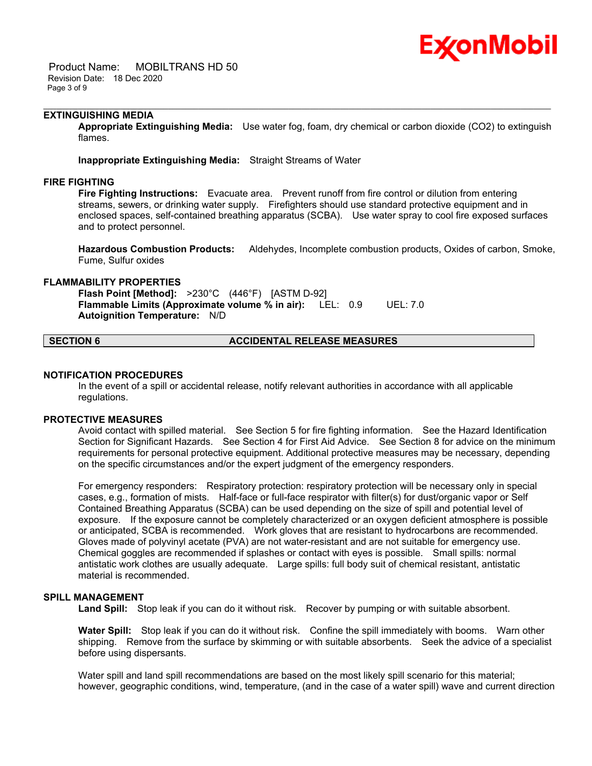# Ex⁄onMobil

 Product Name: MOBILTRANS HD 50 Revision Date: 18 Dec 2020 Page 3 of 9

### **EXTINGUISHING MEDIA**

**Appropriate Extinguishing Media:** Use water fog, foam, dry chemical or carbon dioxide (CO2) to extinguish flames.

\_\_\_\_\_\_\_\_\_\_\_\_\_\_\_\_\_\_\_\_\_\_\_\_\_\_\_\_\_\_\_\_\_\_\_\_\_\_\_\_\_\_\_\_\_\_\_\_\_\_\_\_\_\_\_\_\_\_\_\_\_\_\_\_\_\_\_\_\_\_\_\_\_\_\_\_\_\_\_\_\_\_\_\_\_\_\_\_\_\_\_\_\_\_\_\_\_\_\_\_\_\_\_\_\_\_\_\_\_\_\_\_\_\_\_\_\_\_

**Inappropriate Extinguishing Media:** Straight Streams of Water

### **FIRE FIGHTING**

**Fire Fighting Instructions:** Evacuate area. Prevent runoff from fire control or dilution from entering streams, sewers, or drinking water supply. Firefighters should use standard protective equipment and in enclosed spaces, self-contained breathing apparatus (SCBA). Use water spray to cool fire exposed surfaces and to protect personnel.

**Hazardous Combustion Products:** Aldehydes, Incomplete combustion products, Oxides of carbon, Smoke, Fume, Sulfur oxides

### **FLAMMABILITY PROPERTIES**

**Flash Point [Method]:** >230°C (446°F) [ASTM D-92] **Flammable Limits (Approximate volume % in air):** LEL: 0.9 UEL: 7.0 **Autoignition Temperature:** N/D

### **SECTION 6 ACCIDENTAL RELEASE MEASURES**

### **NOTIFICATION PROCEDURES**

In the event of a spill or accidental release, notify relevant authorities in accordance with all applicable regulations.

### **PROTECTIVE MEASURES**

Avoid contact with spilled material. See Section 5 for fire fighting information. See the Hazard Identification Section for Significant Hazards. See Section 4 for First Aid Advice. See Section 8 for advice on the minimum requirements for personal protective equipment. Additional protective measures may be necessary, depending on the specific circumstances and/or the expert judgment of the emergency responders.

For emergency responders: Respiratory protection: respiratory protection will be necessary only in special cases, e.g., formation of mists. Half-face or full-face respirator with filter(s) for dust/organic vapor or Self Contained Breathing Apparatus (SCBA) can be used depending on the size of spill and potential level of exposure. If the exposure cannot be completely characterized or an oxygen deficient atmosphere is possible or anticipated, SCBA is recommended. Work gloves that are resistant to hydrocarbons are recommended. Gloves made of polyvinyl acetate (PVA) are not water-resistant and are not suitable for emergency use. Chemical goggles are recommended if splashes or contact with eyes is possible. Small spills: normal antistatic work clothes are usually adequate. Large spills: full body suit of chemical resistant, antistatic material is recommended.

### **SPILL MANAGEMENT**

Land Spill: Stop leak if you can do it without risk. Recover by pumping or with suitable absorbent.

**Water Spill:** Stop leak if you can do it without risk. Confine the spill immediately with booms. Warn other shipping. Remove from the surface by skimming or with suitable absorbents. Seek the advice of a specialist before using dispersants.

Water spill and land spill recommendations are based on the most likely spill scenario for this material; however, geographic conditions, wind, temperature, (and in the case of a water spill) wave and current direction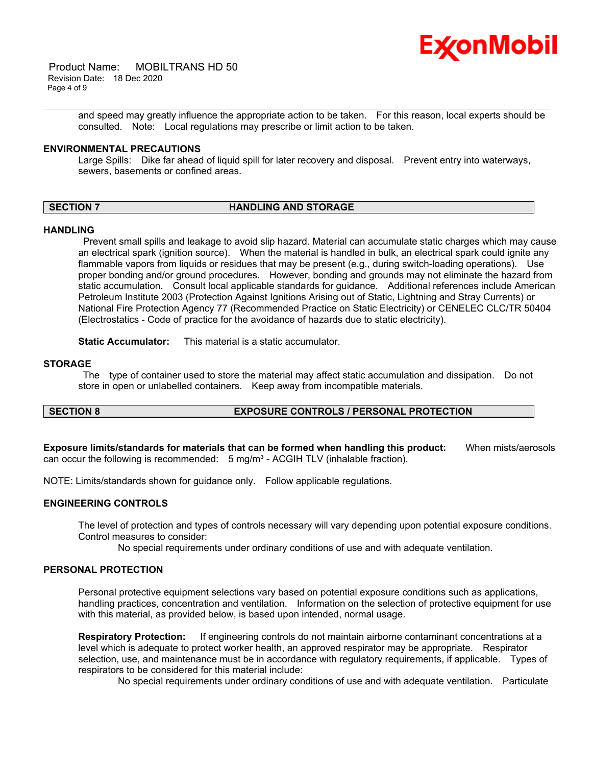

 Product Name: MOBILTRANS HD 50 Revision Date: 18 Dec 2020 Page 4 of 9

> and speed may greatly influence the appropriate action to be taken. For this reason, local experts should be consulted. Note: Local regulations may prescribe or limit action to be taken.

### **ENVIRONMENTAL PRECAUTIONS**

Large Spills: Dike far ahead of liquid spill for later recovery and disposal. Prevent entry into waterways, sewers, basements or confined areas.

\_\_\_\_\_\_\_\_\_\_\_\_\_\_\_\_\_\_\_\_\_\_\_\_\_\_\_\_\_\_\_\_\_\_\_\_\_\_\_\_\_\_\_\_\_\_\_\_\_\_\_\_\_\_\_\_\_\_\_\_\_\_\_\_\_\_\_\_\_\_\_\_\_\_\_\_\_\_\_\_\_\_\_\_\_\_\_\_\_\_\_\_\_\_\_\_\_\_\_\_\_\_\_\_\_\_\_\_\_\_\_\_\_\_\_\_\_\_

### **SECTION 7 HANDLING AND STORAGE**

### **HANDLING**

 Prevent small spills and leakage to avoid slip hazard. Material can accumulate static charges which may cause an electrical spark (ignition source). When the material is handled in bulk, an electrical spark could ignite any flammable vapors from liquids or residues that may be present (e.g., during switch-loading operations). Use proper bonding and/or ground procedures. However, bonding and grounds may not eliminate the hazard from static accumulation. Consult local applicable standards for guidance. Additional references include American Petroleum Institute 2003 (Protection Against Ignitions Arising out of Static, Lightning and Stray Currents) or National Fire Protection Agency 77 (Recommended Practice on Static Electricity) or CENELEC CLC/TR 50404 (Electrostatics - Code of practice for the avoidance of hazards due to static electricity).

**Static Accumulator:** This material is a static accumulator.

### **STORAGE**

 The type of container used to store the material may affect static accumulation and dissipation. Do not store in open or unlabelled containers. Keep away from incompatible materials.

### **SECTION 8 EXPOSURE CONTROLS / PERSONAL PROTECTION**

**Exposure limits/standards for materials that can be formed when handling this product:** When mists/aerosols can occur the following is recommended:  $5 \text{ mg/m}^3$  - ACGIH TLV (inhalable fraction).

NOTE: Limits/standards shown for guidance only. Follow applicable regulations.

### **ENGINEERING CONTROLS**

The level of protection and types of controls necessary will vary depending upon potential exposure conditions. Control measures to consider:

No special requirements under ordinary conditions of use and with adequate ventilation.

### **PERSONAL PROTECTION**

Personal protective equipment selections vary based on potential exposure conditions such as applications, handling practices, concentration and ventilation. Information on the selection of protective equipment for use with this material, as provided below, is based upon intended, normal usage.

**Respiratory Protection:** If engineering controls do not maintain airborne contaminant concentrations at a level which is adequate to protect worker health, an approved respirator may be appropriate. Respirator selection, use, and maintenance must be in accordance with regulatory requirements, if applicable. Types of respirators to be considered for this material include:

No special requirements under ordinary conditions of use and with adequate ventilation. Particulate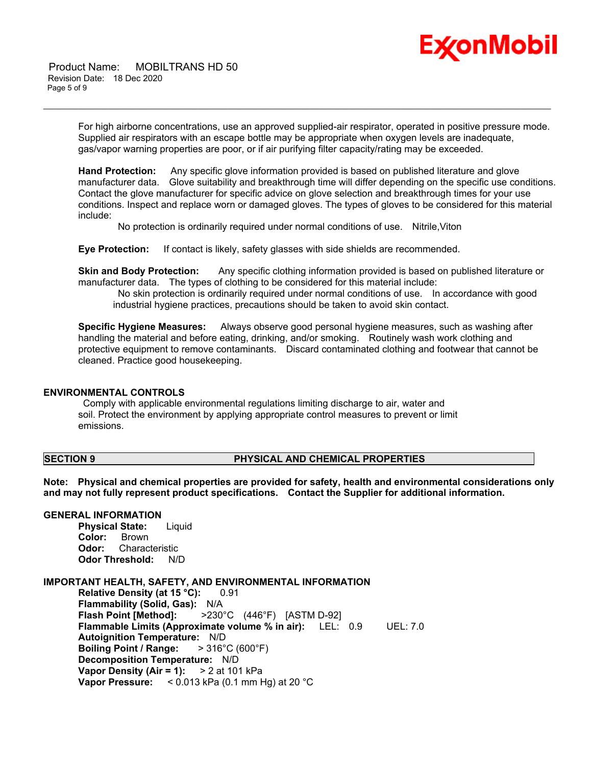

 Product Name: MOBILTRANS HD 50 Revision Date: 18 Dec 2020 Page 5 of 9

> For high airborne concentrations, use an approved supplied-air respirator, operated in positive pressure mode. Supplied air respirators with an escape bottle may be appropriate when oxygen levels are inadequate, gas/vapor warning properties are poor, or if air purifying filter capacity/rating may be exceeded.

\_\_\_\_\_\_\_\_\_\_\_\_\_\_\_\_\_\_\_\_\_\_\_\_\_\_\_\_\_\_\_\_\_\_\_\_\_\_\_\_\_\_\_\_\_\_\_\_\_\_\_\_\_\_\_\_\_\_\_\_\_\_\_\_\_\_\_\_\_\_\_\_\_\_\_\_\_\_\_\_\_\_\_\_\_\_\_\_\_\_\_\_\_\_\_\_\_\_\_\_\_\_\_\_\_\_\_\_\_\_\_\_\_\_\_\_\_\_

**Hand Protection:** Any specific glove information provided is based on published literature and glove manufacturer data. Glove suitability and breakthrough time will differ depending on the specific use conditions. Contact the glove manufacturer for specific advice on glove selection and breakthrough times for your use conditions. Inspect and replace worn or damaged gloves. The types of gloves to be considered for this material include:

No protection is ordinarily required under normal conditions of use. Nitrile,Viton

**Eye Protection:** If contact is likely, safety glasses with side shields are recommended.

**Skin and Body Protection:** Any specific clothing information provided is based on published literature or manufacturer data. The types of clothing to be considered for this material include:

 No skin protection is ordinarily required under normal conditions of use. In accordance with good industrial hygiene practices, precautions should be taken to avoid skin contact.

**Specific Hygiene Measures:** Always observe good personal hygiene measures, such as washing after handling the material and before eating, drinking, and/or smoking. Routinely wash work clothing and protective equipment to remove contaminants. Discard contaminated clothing and footwear that cannot be cleaned. Practice good housekeeping.

### **ENVIRONMENTAL CONTROLS**

 Comply with applicable environmental regulations limiting discharge to air, water and soil. Protect the environment by applying appropriate control measures to prevent or limit emissions.

### **SECTION 9 PHYSICAL AND CHEMICAL PROPERTIES**

**Note: Physical and chemical properties are provided for safety, health and environmental considerations only and may not fully represent product specifications. Contact the Supplier for additional information.**

### **GENERAL INFORMATION**

**Physical State:** Liquid Color: Brown<br>Odor: Charac **Odor:** Characteristic **Odor Threshold:** N/D

### **IMPORTANT HEALTH, SAFETY, AND ENVIRONMENTAL INFORMATION**

**Relative Density (at 15 °C):** 0.91 **Flammability (Solid, Gas):** N/A **Flash Point [Method]:** >230°C (446°F) [ASTM D-92] **Flammable Limits (Approximate volume % in air):** LEL: 0.9 UEL: 7.0 **Autoignition Temperature:** N/D **Boiling Point / Range:** > 316°C (600°F) **Decomposition Temperature:** N/D **Vapor Density (Air = 1):** > 2 at 101 kPa **Vapor Pressure:** < 0.013 kPa (0.1 mm Hg) at 20 °C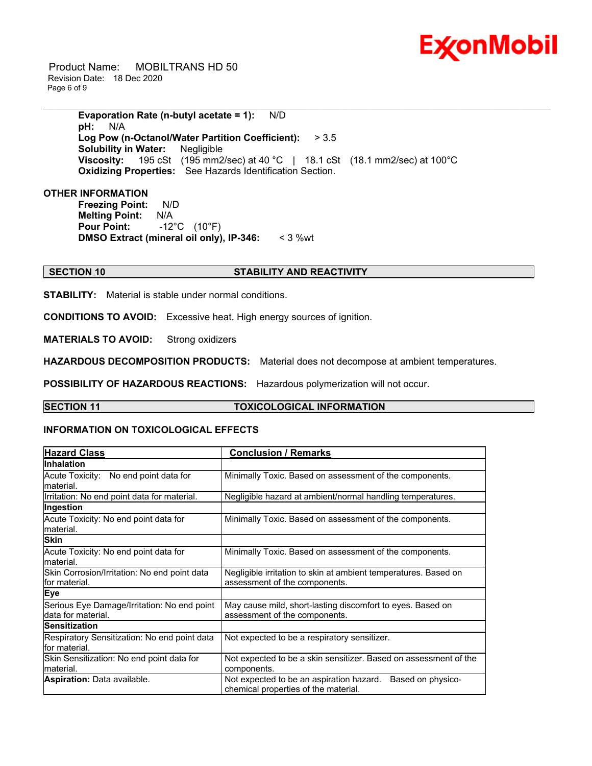

 Product Name: MOBILTRANS HD 50 Revision Date: 18 Dec 2020 Page 6 of 9

> **Evaporation Rate (n-butyl acetate = 1):** N/D **pH:** N/A **Log Pow (n-Octanol/Water Partition Coefficient):** > 3.5 **Solubility in Water:** Negligible **Viscosity:** 195 cSt (195 mm2/sec) at 40 °C | 18.1 cSt (18.1 mm2/sec) at 100°C **Oxidizing Properties:** See Hazards Identification Section.

\_\_\_\_\_\_\_\_\_\_\_\_\_\_\_\_\_\_\_\_\_\_\_\_\_\_\_\_\_\_\_\_\_\_\_\_\_\_\_\_\_\_\_\_\_\_\_\_\_\_\_\_\_\_\_\_\_\_\_\_\_\_\_\_\_\_\_\_\_\_\_\_\_\_\_\_\_\_\_\_\_\_\_\_\_\_\_\_\_\_\_\_\_\_\_\_\_\_\_\_\_\_\_\_\_\_\_\_\_\_\_\_\_\_\_\_\_\_

### **OTHER INFORMATION**

**Freezing Point:** N/D **Melting Point:** N/A **Pour Point:** -12°C (10°F) **DMSO Extract (mineral oil only), IP-346:** < 3 %wt

### **SECTION 10 STABILITY AND REACTIVITY**

**STABILITY:** Material is stable under normal conditions.

**CONDITIONS TO AVOID:** Excessive heat. High energy sources of ignition.

**MATERIALS TO AVOID:** Strong oxidizers

**HAZARDOUS DECOMPOSITION PRODUCTS:** Material does not decompose at ambient temperatures.

**POSSIBILITY OF HAZARDOUS REACTIONS:** Hazardous polymerization will not occur.

### **SECTION 11 TOXICOLOGICAL INFORMATION**

### **INFORMATION ON TOXICOLOGICAL EFFECTS**

| <b>Hazard Class</b>                                               | <b>Conclusion / Remarks</b>                                                                           |  |  |
|-------------------------------------------------------------------|-------------------------------------------------------------------------------------------------------|--|--|
| <b>Inhalation</b>                                                 |                                                                                                       |  |  |
| Acute Toxicity: No end point data for<br>lmaterial.               | Minimally Toxic. Based on assessment of the components.                                               |  |  |
| Irritation: No end point data for material.                       | Negligible hazard at ambient/normal handling temperatures.                                            |  |  |
| Ingestion                                                         |                                                                                                       |  |  |
| Acute Toxicity: No end point data for<br>lmaterial.               | Minimally Toxic. Based on assessment of the components.                                               |  |  |
| <b>Skin</b>                                                       |                                                                                                       |  |  |
| Acute Toxicity: No end point data for<br>lmaterial.               | Minimally Toxic. Based on assessment of the components.                                               |  |  |
| Skin Corrosion/Irritation: No end point data<br>lfor material.    | Negligible irritation to skin at ambient temperatures. Based on<br>assessment of the components.      |  |  |
| <b>Eye</b>                                                        |                                                                                                       |  |  |
| Serious Eye Damage/Irritation: No end point<br>data for material. | May cause mild, short-lasting discomfort to eyes. Based on<br>assessment of the components.           |  |  |
| <b>Sensitization</b>                                              |                                                                                                       |  |  |
| Respiratory Sensitization: No end point data<br>lfor material.    | Not expected to be a respiratory sensitizer.                                                          |  |  |
| Skin Sensitization: No end point data for<br>material.            | Not expected to be a skin sensitizer. Based on assessment of the<br>components.                       |  |  |
| <b>Aspiration: Data available.</b>                                | Based on physico-<br>Not expected to be an aspiration hazard.<br>chemical properties of the material. |  |  |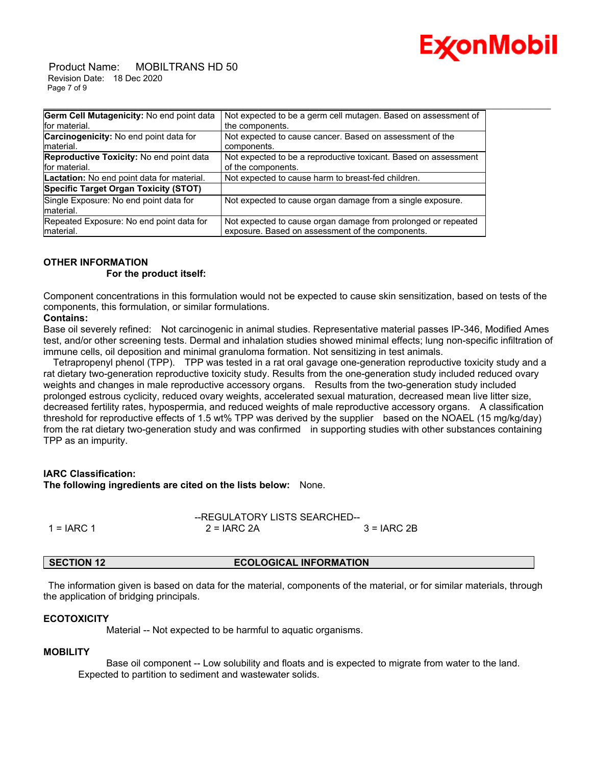

 Product Name: MOBILTRANS HD 50 Revision Date: 18 Dec 2020 Page 7 of 9

| Germ Cell Mutagenicity: No end point data       | Not expected to be a germ cell mutagen. Based on assessment of  |
|-------------------------------------------------|-----------------------------------------------------------------|
| for material.                                   | the components.                                                 |
| Carcinogenicity: No end point data for          | Not expected to cause cancer. Based on assessment of the        |
| Imaterial.                                      | components.                                                     |
| <b>Reproductive Toxicity: No end point data</b> | Not expected to be a reproductive toxicant. Based on assessment |
| for material.                                   | of the components.                                              |
| Lactation: No end point data for material.      | Not expected to cause harm to breast-fed children.              |
| Specific Target Organ Toxicity (STOT)           |                                                                 |
| Single Exposure: No end point data for          | Not expected to cause organ damage from a single exposure.      |
| material.                                       |                                                                 |
| Repeated Exposure: No end point data for        | Not expected to cause organ damage from prolonged or repeated   |
| material.                                       | exposure. Based on assessment of the components.                |

### **OTHER INFORMATION**

### **For the product itself:**

Component concentrations in this formulation would not be expected to cause skin sensitization, based on tests of the components, this formulation, or similar formulations.

### **Contains:**

Base oil severely refined: Not carcinogenic in animal studies. Representative material passes IP-346, Modified Ames test, and/or other screening tests. Dermal and inhalation studies showed minimal effects; lung non-specific infiltration of immune cells, oil deposition and minimal granuloma formation. Not sensitizing in test animals.

 Tetrapropenyl phenol (TPP). TPP was tested in a rat oral gavage one-generation reproductive toxicity study and a rat dietary two-generation reproductive toxicity study. Results from the one-generation study included reduced ovary weights and changes in male reproductive accessory organs. Results from the two-generation study included prolonged estrous cyclicity, reduced ovary weights, accelerated sexual maturation, decreased mean live litter size, decreased fertility rates, hypospermia, and reduced weights of male reproductive accessory organs. A classification threshold for reproductive effects of 1.5 wt% TPP was derived by the supplier based on the NOAEL (15 mg/kg/day) from the rat dietary two-generation study and was confirmed in supporting studies with other substances containing TPP as an impurity.

### **IARC Classification:**

**The following ingredients are cited on the lists below:** None.

|              |               | --REGULATORY LISTS SEARCHED-- |  |  |
|--------------|---------------|-------------------------------|--|--|
| 1 = $IARC 1$ | $2 = IARC$ 2A | $3 = IARC2B$                  |  |  |

### **SECTION 12 ECOLOGICAL INFORMATION**

 The information given is based on data for the material, components of the material, or for similar materials, through the application of bridging principals.

### **ECOTOXICITY**

Material -- Not expected to be harmful to aquatic organisms.

### **MOBILITY**

 Base oil component -- Low solubility and floats and is expected to migrate from water to the land. Expected to partition to sediment and wastewater solids.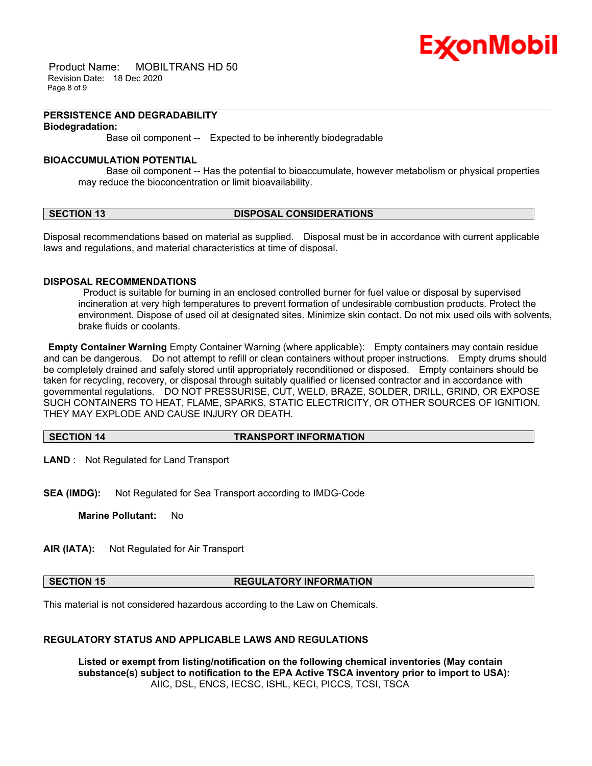

 Product Name: MOBILTRANS HD 50 Revision Date: 18 Dec 2020 Page 8 of 9

### **PERSISTENCE AND DEGRADABILITY Biodegradation:**

Base oil component -- Expected to be inherently biodegradable

### **BIOACCUMULATION POTENTIAL**

 Base oil component -- Has the potential to bioaccumulate, however metabolism or physical properties may reduce the bioconcentration or limit bioavailability.

\_\_\_\_\_\_\_\_\_\_\_\_\_\_\_\_\_\_\_\_\_\_\_\_\_\_\_\_\_\_\_\_\_\_\_\_\_\_\_\_\_\_\_\_\_\_\_\_\_\_\_\_\_\_\_\_\_\_\_\_\_\_\_\_\_\_\_\_\_\_\_\_\_\_\_\_\_\_\_\_\_\_\_\_\_\_\_\_\_\_\_\_\_\_\_\_\_\_\_\_\_\_\_\_\_\_\_\_\_\_\_\_\_\_\_\_\_\_

### **SECTION 13 DISPOSAL CONSIDERATIONS**

Disposal recommendations based on material as supplied. Disposal must be in accordance with current applicable laws and regulations, and material characteristics at time of disposal.

### **DISPOSAL RECOMMENDATIONS**

 Product is suitable for burning in an enclosed controlled burner for fuel value or disposal by supervised incineration at very high temperatures to prevent formation of undesirable combustion products. Protect the environment. Dispose of used oil at designated sites. Minimize skin contact. Do not mix used oils with solvents, brake fluids or coolants.

**Empty Container Warning** Empty Container Warning (where applicable): Empty containers may contain residue and can be dangerous. Do not attempt to refill or clean containers without proper instructions. Empty drums should be completely drained and safely stored until appropriately reconditioned or disposed. Empty containers should be taken for recycling, recovery, or disposal through suitably qualified or licensed contractor and in accordance with governmental regulations. DO NOT PRESSURISE, CUT, WELD, BRAZE, SOLDER, DRILL, GRIND, OR EXPOSE SUCH CONTAINERS TO HEAT, FLAME, SPARKS, STATIC ELECTRICITY, OR OTHER SOURCES OF IGNITION. THEY MAY EXPLODE AND CAUSE INJURY OR DEATH.

### **SECTION 14 TRANSPORT INFORMATION**

**LAND** : Not Regulated for Land Transport

**SEA (IMDG):** Not Regulated for Sea Transport according to IMDG-Code

**Marine Pollutant:** No

**AIR (IATA):** Not Regulated for Air Transport

### **SECTION 15 REGULATORY INFORMATION**

This material is not considered hazardous according to the Law on Chemicals.

### **REGULATORY STATUS AND APPLICABLE LAWS AND REGULATIONS**

**Listed or exempt from listing/notification on the following chemical inventories (May contain substance(s) subject to notification to the EPA Active TSCA inventory prior to import to USA):**  AIIC, DSL, ENCS, IECSC, ISHL, KECI, PICCS, TCSI, TSCA